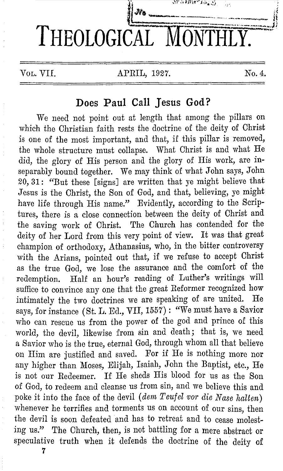

# **Does Paul Call Jesus God?**

We need not point out at length that among the pillars on which the Christian faith rests the doctrine of the deity of Christ is one of the most important, and that, if this pillar is removed, the whole structure must collapse. What Christ is and what He did, the glory of His person and the glory of His work, are inseparably bound together. We may think of what John says, John 20, 31: "But these [signs] are written that ye might believe that Jesus is the Christ, the Son of God, and that, believing, ye might have life through His name." Evidently, according to the Scriptures, there is a close connection between the deity of Christ and the saving work of Christ. The Church has contended for the deity of her Lord from this very point of view. It was that great champion of orthodoxy, Athanasius, who, in the bitter controversy with the Arians, pointed out that, if we refuse to accept Christ as the true God, we lose the assurance and the comfort of the redemption. Half an hour's reading of Luther's writings will suffice to convince any one that the great Reformer recognized how intimately the two doctrines we are speaking of are united. He says, for instance (St. L. Ed., VII, 1557): "We must have a Savior who can rescue us from the power of the god and prince of this world, the devil, likewise from sin and death; that is, we need a Savior who is the true, eternal God, through whom all that believe on Him are justified and saved. For if He is nothing more nor any higher than Moses, Elijah, Isaiah, John the Baptist, etc., He is not our Redeemer. If He sheds His blood for us as the Son of God, to redeem and cleanse us from sin, and we believe this and poke it into the face of the devil *(dem Teufel vor die Nase halten)*  whenever he terrifies and torments us on account of our sins, then the devil is soon defeated and has to retreat and to cease molesting us." The Church, then, is not battling for a mere abstract or speculative truth when it defends the doctrine of the deity of

7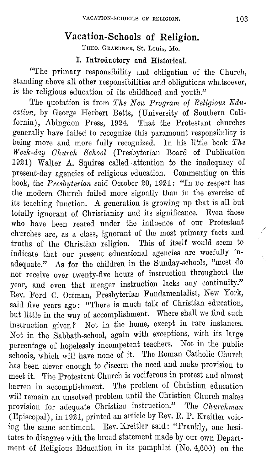# **Vacation-Schools of Religion.**

THEO. GRAEBNER, St. Louis, Mo.

## **I. Introductory and Historical.**

"The primary responsibility and obligation of the Church, standing above all other responsibilities and obligations whatsoever, is the religious education of its childhood and youth."

The quotation is from *The New Program of Religions Education,* by George Herbert Betts, (University 0£ Southern California), Abingdon Press, 1924. That the Protestant churches generally have £ailed to recognize this paramount responsibility is being more and more folly recognized. In his little book *The Weelc-day Ohttrch School* (Presbyterian Board 0£ Publication  $1921)$  Walter A. Squires called attention to the inadequacy of present-day agencies 0£ religious education. Commenting on this book, the *Presbyterian* said October 20, 1921: "In no respect has the modern Church £ailed more signally than in the exercise of its teaching function. A generation is growing up that is all but totally ignorant of Christianity and its significance. Even those who have been reared under the influence 0£ our Protestant churches are, as a class, ignorant 0£ the most primary facts and */*  truths of the Christian religion. This 0£ itself would seem to indicate that our present educational agencies are woefully inadequate." As for the children in the Sunday-schools, "most do not receive over twenty-five hours of instruction throughout the year, and even that meager instruction lacks any continuity." Rev. Ford C. Ottman, Presbyterian Fundamentalist, New York, said five years ago: "There is much talk of Christian education, but little in the way 0£ accomplishment. Where shall we find such instruction given? Not in the home, except in rare instances. Not in the Sabbath-school, again with exceptions, with its large percentage 0£ hopelessly incompetent teachers. Not in the public schools, which will have none 0£ it. The Roman Catholic Church has been clever enough to discern the need and make provision to meet it. The Protestant Church is vociferous in protest and almost barren in accomplishment. The problem of Christian education will remain an unsolved problem until the Christian Church makes provision for adequate Christian instruction." The *Churchman* (Episcopal), in 1921, printed an article by Rev. R. P. Kreitler voicing the same sentiment. Rev. Kreitler said: "Frankly, one hesitates to disagree with the broad statement made by our own Department of Religious Education in its pamphlet (No. 4,600) on the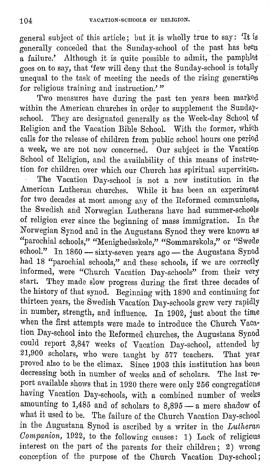general subject of this article; but it is wholly true to say: 'It ls generally conceded that the Sunday-school of the past has beell a failure.' Although it is quite possible to admit, the pamphlet goes on to say, that 'few will deny that the Sunday-school is totally unequal to the task of meeting the needs of the rising generation for religious training and instruction.'"

Two measures have during the past ten years been marked within the American churches in order to supplement the Sundayschool. They are designated generally as the Week-day School of Religion and the Vacation Bible School. With the former, which calls for the release of children from public school hours one period a week, we are not now concerned. Our subject is the Vacation School of Religion, and the availability of this means of instruction for children over which our Church has spiritual supervision. The Vacation Day-school is not a new institution in the American Lutheran churches. While it has been an experiment for two decades at most among any of the Reformed communions, the Swedish and Norwegian Lutherans have had summer-schools of religion ever since the beginning of mass immigration. In the Norwegian Synod and in the Augustana Synod they were known as "parochial schools," "Menighedsskole," "Sommarskola," or "Swede school." In 1860 — sixty-seven years ago — the Augustana Synod had 18 "parochial schools," and these schools, if we are correctly informed, were "Church Vacation Day-schools" from their very start. They made slow progress during the first three decades of the history of that synod. Beginning with 1890 and continuing for thirteen years, the Swedish Vacation Day-schools grew very rapidly in number, strength, and influence. In 1902, just about the time when the first attempts were made to introduce the Church Vacation Day-school into the Reformed churches, the Augustana Synod could report 3,847 weeks of Vacation Day-school, attended by 21,900 scholars, who were taught by 577 teachers. That year proved also to be the climax. Since 1903 this institution has been decreasing both in number of weeks and of scholars. The last report available shows that in 1920 there were only 256 congregations having Vacation Day-schools, with a combined number of weeks amounting to  $1,485$  and of scholars to  $8,895$  - a mere shadow of what it used to be. The failure of the Church Vacation Day-school in the Augustana Synod is ascribed by a writer in the *Lutheran Companion,* 1922, to the following causes: 1) Lack of religious interest on the part of the parents for their children; 2) wrong conception of the purpose of the Church Vacation Day-school;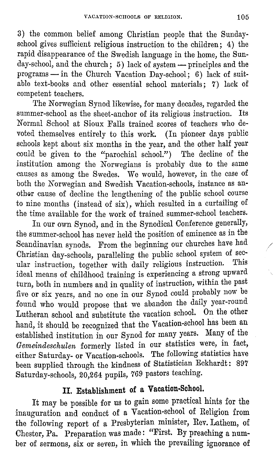3) the common belief among Christian people that the Sundayschool gives sufficient religious instruction to the children; 4) the rapid disappearance of the Swedish language in the home, the Sunday-school, and the church; 5) lack of system - principles and the programs - in the Church Vacation Day-school; 6) lack of suitable text-books and other essential school materials; 7) lack of competent teachers.

The Norwegian Synod likewise, for many decades, regarded the summer-school as the sheet-anchor of its religious instruction. Its Normal School at Sioux Falls trained scores of teachers who devoted themselves entirely to this work. (In pioneer days public schools kept about six months in the year, and the other half year could be given to the "parochial school.") The decline of the institution among the Norwegians is probably due to the same causes as among the Swedes. We would, however, in the case of both the Norwegian and Swedish Vacation-schools, instance as another cause of decline the lengthening of the public school course to nine months ( instead of six), which resulted in a curtailing of the time available for the work of trained summer-school teachers.

In our own Synod, and in the Synodical Conference generally, the summer-school has never held the position of eminence as in the Scandinavian synods. From the beginning our churches have had Christian day-schools, paralleling the public school system of sec-<br>uler instruction, teacher with deily religious instruction. This ular instruction, together with daily religious instruction. ideal means of childhood training is experiencing a strong upward turn, both in numbers and in quality of instruction, within the past five or six years, and no one in our Synod could probably now be found who would propose that we abandon the daily year-round Lutheran school and substitute the vacation school. On the other hand, it should be recognized that the Vacation-school has been an established institution in our Synod for many years. Many of the *Gemeindeschulen* formerly listed in our statistics were, in fact, either Saturday- or Vacation-schools. The following statistics have been supplied through the kindness of Statistician Eckhardt: 897 Saturday-schools, 20,264 pupils, 769 pastors teaching.

# **II. Establishment of a Vacation-School.**

It may be possible for us to gain some practical hints for the inauguration and conduct of a Vacation-school of Religion from the following report of a Presbyterian minister, Rev. Lathem, of Chester, Pa. Preparation was made: "First. By preaching a number of sermons, six or seven, in which the prevailing ignorance of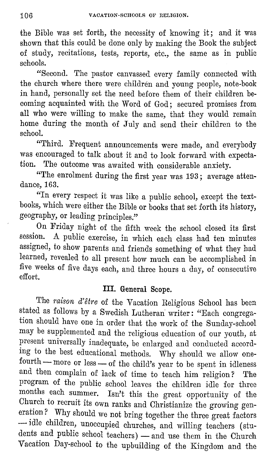the Bible was set forth, the necessity of knowing it; and it was shown that this could be done only by making the Book the subject of study, recitations, tests, reports, etc., the same as in public schools.

"Second. The pastor canvassed every family connected with the church where there were children and young people, note-book in hand, personally set the need before them of their children becoming acquainted with the Word of God; secured promises from all who were willing to make the same, that they would remain home during the month of July and send their children to the school.

"Third. Frequent announcements were made, and everybody was encouraged to talk about it and to look forward with expectation. The outcome was awaited with considerable anxiety.

"The enrolment during the first year was 193; average attendance, 163.

"In every respect it was like a public school, except the textbooks, which were either the Bible or books that set forth its history, geography, or leading principles."

On Friday night of the fifth week the school closed its first session. A public exercise, in which each class had ten minutes assigned, to show parents and friends something of what they had learned, revealed to all present how much can be accomplished in five weeks of five days each, and three hours a day, of consecutive effort.

# III. **General Scope.**

The *raison d'etre* of the Vacation Religious School has been stated as follows by a Swedish Lutheran writer: "Each congregation should have one in order that the work of the Sunday-school may be supplemented and the religious education of our youth, at present universally inadequate, be enlarged and conducted according to the best educational methods. Why should we allow onefourth - more or less - of the child's year to be spent in idleness and then complain of lack of time to teach him religion? The program of the public school leaves the children idle for three months each summer. Isn't this the great opportunity of the Church to recruit its own ranks and Christianize the growing generation? Why should we not bring together the three great factors --- idle children, unoccupied churches, and willing teachers (students and public school teachers) — and use them in the Church Vacation Day-school to the upbuilding of the Kingdom and the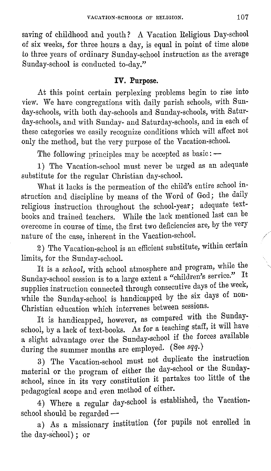saving of childhood and youth? A Vacation Religious Day-school of six weeks, for three hours a day, is equal in point of time alone to three years of ordinary Sunday-school instruction as the average Sunday-school is conducted to-day."

# **IV. Purpose.**

At this point certain perplexing problems begin to rise into view. We have congregations with daily parish schools, with Sunday-schools, with both day-schools and Sunday-schools, with Saturday-schools, and with Sunday- and Saturday-schools, and in each of these categories we easily recognize conditions which will affect not only the method, but the very purpose of the Vacation-school.

The following principles may be accepted as  $\text{basic:}$  -

1) The Vacation-school must never be urged as an adequate substitute for the regular Christian day-school.

What it lacks is the permeation of the child's entire school instruction and discipline by means of the Word of God; the daily religious instruction throughout the school-year; adequate textbooks and trained teachers. While the lack mentioned last can be overcome in course of time, the first two deficiencies are, by the very nature of the case, inherent in the Vacation-school.

2) The Vacation-school is an efficient substitute, within certain limits, for the Sunday-school.

It is a *school,* with school atmosphere and program, while the Sunday-school session is to a large extent a "children's service." It supplies instruction connected through consecutive days of the week, while the Sunday-school is handicapped by the six days of non-Christian education which intervenes between sessions.

It is handicapped, however, as compared with the Sundayschool, by a lack of text-books. As for a teaching staff, it will have a slight advantage over the Sunday-school if the forces available during the summer months are employed. (See *sqq.)* 

3) The Vacation-school must not duplicate the instruction material or the program of either the day-school or the Sundayschool, since in its very constitution it partakes too little of the pedagogical scope and even method of either.

4) Where a regular day-school is established, the Vacation $s$ chool should be regarded  $-$ 

a) As a missionary institution ( for pupils not enrolled in the day-school); or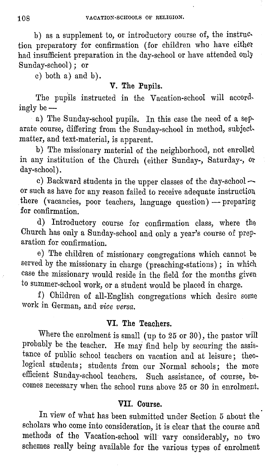b) as a supplement to, or introductory course of, the instruction preparatory for confirmation (for children who have either had insufficient preparation in the day-school or have attended only Sunday-school) : or

c) both a) and b).

#### **V. The Pupils.**

The pupils instructed in the Vacation-school will accordingly be $-$ 

a) The Sunday-school pupils. In this case the need of a separate course, differing from the Sunday-school in method, subject, matter, and text-material, is apparent.

b) The missionary material of the neighborhood, not enrolled. in any institution of the Church (either Sunday-, Saturday-, or day-school).

c) Backward students in the upper classes of the day-school  $\sim$ or such as have for any reason failed to receive adequate instruction. there (vacancies, poor teachers, language question) - preparing for confirmation.

d) Introductory course for confirmation class, where the Church has only a Sunday-school and only a year's course of preparation for confirmation.

e) The children of missionary congregations which cannot be served by the missionary in charge (preaching-stations); in which case the missionary would reside in the field for the months given to summer-school work, or a student would be placed in charge.

f) Children of all-English congregations which desire some work in German, and *vice versa.* 

#### **VI. The Teachers.**

Where the enrolment is small ( up to 25 or 30), the pastor will probably be the teacher. He may find help by securing the assistance of public school teachers on vacation and at leisure; theological students; students from our Normal schools; the more efficient Sunday-school teachers. Such assistance, of course, becomes necessary when the school runs above 25 or 30 in enrolment.

## **VII. Course.**

In view of what has been submitted under Section 5 about the scholars who come into consideration, it is clear that the course and methods of the Vacation-school will vary considerably, no two schemes really being available for the various types of enrolment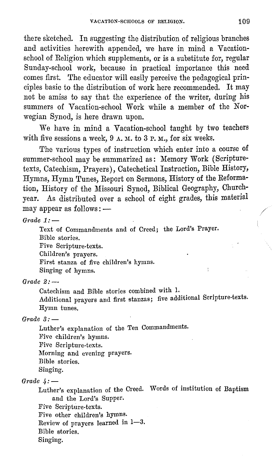there sketched. In suggesting the distribution of religious branches and activities herewith appended, we have in mind a Vacationschool of Religion which supplements, or is a substitute for, regular Sunday-school work, because in practical importance this need comes first. The educator will easily perceive the pedagogical principles basic to the distribution of work here recommended. It may not be amiss to say that the experience of the writer, during his summers of Vacation-school Work while a member of the Norwegian Synod, is here drawn upon.

We have in mind a Vacation-school taught by two teachers with five sessions a week,  $9 \text{ A}$ . M. to  $3 \text{ P}$ . M., for six weeks.

The various types of instruction which enter into a course of summer-school may be summarized as: Memory Work (Scripturetexts, Catechism, Prayers), Catechetical Instruction, Bible History, Hymns, Hymn Tunes, Report on Sermons, History of the Reformation, History of the Missouri Synod, Biblical Geography, Churchyear. As distributed over a school of eight grades, this material may appear as follows: -

*Grade*  $1:-$ 

Text of Commandments and of Creed; the Lord's Prayer. Bible stories. Five Scripture-texts.

Children's prayers.

First stanza of five children's hymns.

Singing of hymns.

 $Grade 2: -$ 

Catechism and Bible stories combined with 1.

.Additional prayers and first stanzas; five additional Scripture-texts. Hymn tunes.

ł

*Grade 3:-*

Luther's explanation of the Ten Commandments.

Five children's hymns.

Pive Scripture-texts.

Morning and evening prayers.

Bible stories.

Singing.

*Grade 4:-*

Luther's explanation of the Creed. Words of institution of Baptism and the Lord's Supper.

Five Scripture-texts.

Pive other children's hymns.

Review of prayers learned in 1-3.

Bible stories.

Singing.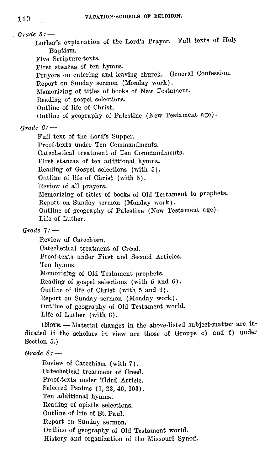$Grade 5:$ Luther's explanation of the Lord's Prayer. Full texts of Holy Baptism. Five Scripture-texts. First stanzas of ten hymns. Prayers on entering and leaving church. General Confession. Report on Sunday sermon (Monday work). Memorizing of titles of books of New Testament. Reading of gospel selections. Outline of life of Christ. Outline of geography of Palestine (New Testament age). *Grade*  $6:$  — Full text of the Lord's Supper. Proof-texts under Ten Commandments. Catechetical treatment of Ten Commandments. First stanzas of ten additional hymns. Reading of Gospel selections (with 5). Outline of life of Christ (with 5). Review of all prayers. Memorizing of titles of books of Old Testament to prophets.

Report on Sunday sermon (Monday work). Outline of geography of Palestine (New Testament age) , Life of Luther.

#### *Grade 7:-*

Review of Catechism. Catechetical treatment of Creed. Proof-texts under First and Second Articles. Ten hymns. Memorizing of Old Testament prophets. Reading of gospel selections ( with 5 and 6) . Outline of life of Christ (with 5 and 6). Report on Sunday sermon (Monday work). Outline of geography of Old Testament world. Life of Luther ( with 6).

(NOTE. - Material changes in the above-listed subject-matter are indicated if the scholars in view are those of Groups c) and f) under Section 5.)

#### *Grade 8:-*

Review of Catechism (with 7). Catechetical treatment of Creed. Proof-texts under Third Article. Selected Psalms (1, 23, 46,103). Ten additional hymns. Reading of epistle selections. Outline of life of St. Paul. Report on Sunday sermon. Outline of geography of Old Testament world. History and organization of the Missouri Synod.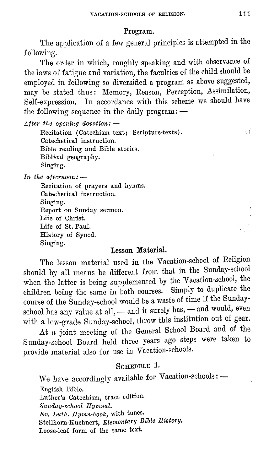#### **Program.**

The application of a few general principles is attempted in the following.

The order in which, roughly speaking and with observance of the laws of fatigue and variation, the faculties of the child should be employed in following so diversified a program as above suggested, may be stated thus: Memory, Reason, Perception, Assimilation, Self-expression. In accordance with this scheme we should have the following sequence in the daily program: --

*After the opening devotion:* -

Recitation ( Catechism text; Scripture-texts). Catechetical instruction. Bible reading and Bible stories. Biblical geography. Singing.

In the afternoon: --

Recitation of prayers and hymns. Catechetical instruction. **Singing.**  Report on Sunday sermon. Life of Christ. Life of St. Paul. History of Synod. Singing.

## **Lesson Material.**

The lesson material used in the Vacation-school of Religion should by all means be different from that in the Sunday-school when the latter is being supplemented by the Vacation-school, the children being the same in both courses. Simply to duplicate the course of the Sunday-school would be a waste of time if the Sundayschool has any value at all, - and it surely has, - and would, even with a low-grade Sunday-school, throw this institution out of gear.

At a joint meeting of the General School Board and of the Sunday-school Board held three years ago steps were taken to provide material also for use in Vacation-schools.

## SCHEDULE 1.

We have accordingly available for Vacation-schools: --English Bible. Luther's Catechism, tract edition. *Sunday-school Ilymnal. Ev. Luth. Ilyrnn-book,* with tunes. Stellhorn-Kuehnert, *Elementary Bible History.*  Loose-leaf form of the same text.

- 3